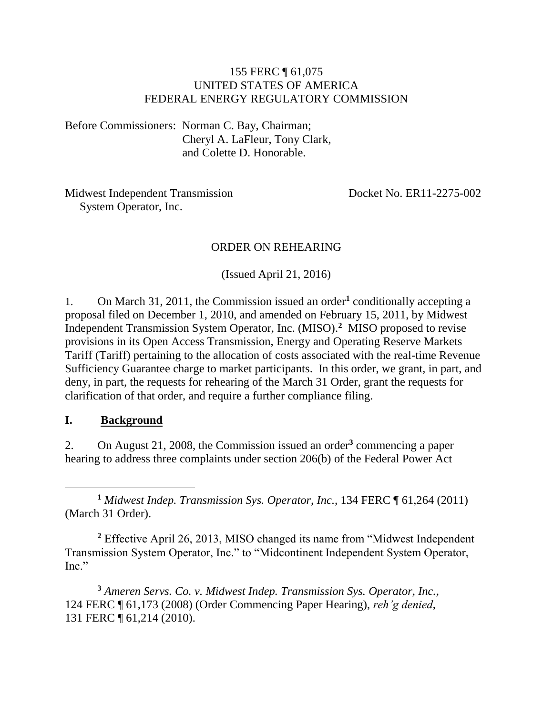#### 155 FERC ¶ 61,075 UNITED STATES OF AMERICA FEDERAL ENERGY REGULATORY COMMISSION

Before Commissioners: Norman C. Bay, Chairman; Cheryl A. LaFleur, Tony Clark, and Colette D. Honorable.

Midwest Independent Transmission Docket No. ER11-2275-002 System Operator, Inc.

#### ORDER ON REHEARING

(Issued April 21, 2016)

1. On March 31, 2011, the Commission issued an order<sup>1</sup> conditionally accepting a proposal filed on December 1, 2010, and amended on February 15, 2011, by Midwest Independent Transmission System Operator, Inc. (MISO).**<sup>2</sup>** MISO proposed to revise provisions in its Open Access Transmission, Energy and Operating Reserve Markets Tariff (Tariff) pertaining to the allocation of costs associated with the real-time Revenue Sufficiency Guarantee charge to market participants. In this order, we grant, in part, and deny, in part, the requests for rehearing of the March 31 Order, grant the requests for clarification of that order, and require a further compliance filing.

#### **I. Background**

2. On August 21, 2008, the Commission issued an order**<sup>3</sup>** commencing a paper hearing to address three complaints under section 206(b) of the Federal Power Act

 $\overline{a}$ **<sup>1</sup>** *Midwest Indep. Transmission Sys. Operator, Inc.,* 134 FERC ¶ 61,264 (2011) (March 31 Order).

**<sup>2</sup>** Effective April 26, 2013, MISO changed its name from "Midwest Independent Transmission System Operator, Inc." to "Midcontinent Independent System Operator, Inc."

**<sup>3</sup>** *Ameren Servs. Co. v. Midwest Indep. Transmission Sys. Operator, Inc.,*  124 FERC ¶ 61,173 (2008) (Order Commencing Paper Hearing), *reh'g denied*, 131 FERC ¶ 61,214 (2010).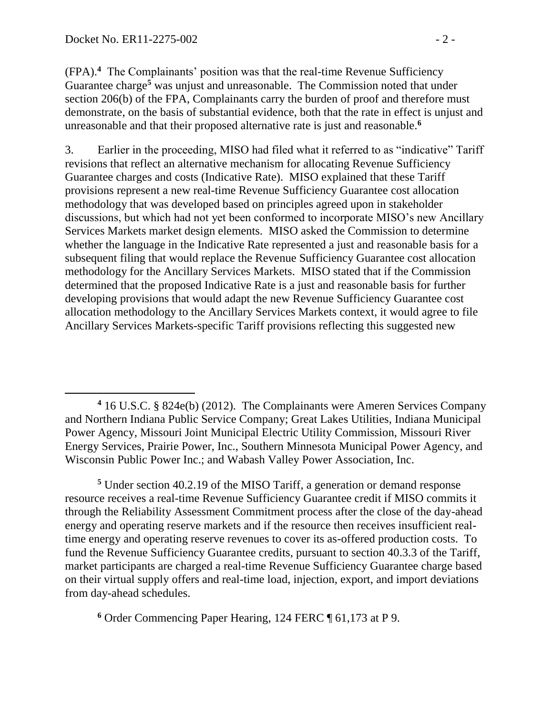(FPA).**<sup>4</sup>** The Complainants' position was that the real-time Revenue Sufficiency Guarantee charge<sup>5</sup> was unjust and unreasonable. The Commission noted that under section 206(b) of the FPA, Complainants carry the burden of proof and therefore must demonstrate, on the basis of substantial evidence, both that the rate in effect is unjust and unreasonable and that their proposed alternative rate is just and reasonable.**<sup>6</sup>**

3. Earlier in the proceeding, MISO had filed what it referred to as "indicative" Tariff revisions that reflect an alternative mechanism for allocating Revenue Sufficiency Guarantee charges and costs (Indicative Rate). MISO explained that these Tariff provisions represent a new real-time Revenue Sufficiency Guarantee cost allocation methodology that was developed based on principles agreed upon in stakeholder discussions, but which had not yet been conformed to incorporate MISO's new Ancillary Services Markets market design elements. MISO asked the Commission to determine whether the language in the Indicative Rate represented a just and reasonable basis for a subsequent filing that would replace the Revenue Sufficiency Guarantee cost allocation methodology for the Ancillary Services Markets. MISO stated that if the Commission determined that the proposed Indicative Rate is a just and reasonable basis for further developing provisions that would adapt the new Revenue Sufficiency Guarantee cost allocation methodology to the Ancillary Services Markets context, it would agree to file Ancillary Services Markets-specific Tariff provisions reflecting this suggested new

**<sup>5</sup>** Under section 40.2.19 of the MISO Tariff, a generation or demand response resource receives a real-time Revenue Sufficiency Guarantee credit if MISO commits it through the Reliability Assessment Commitment process after the close of the day-ahead energy and operating reserve markets and if the resource then receives insufficient realtime energy and operating reserve revenues to cover its as-offered production costs. To fund the Revenue Sufficiency Guarantee credits, pursuant to section 40.3.3 of the Tariff, market participants are charged a real-time Revenue Sufficiency Guarantee charge based on their virtual supply offers and real-time load, injection, export, and import deviations from day-ahead schedules.

**<sup>6</sup>** Order Commencing Paper Hearing, 124 FERC ¶ 61,173 at P 9.

 $\overline{a}$ **<sup>4</sup>** 16 U.S.C. § 824e(b) (2012). The Complainants were Ameren Services Company and Northern Indiana Public Service Company; Great Lakes Utilities, Indiana Municipal Power Agency, Missouri Joint Municipal Electric Utility Commission, Missouri River Energy Services, Prairie Power, Inc., Southern Minnesota Municipal Power Agency, and Wisconsin Public Power Inc.; and Wabash Valley Power Association, Inc.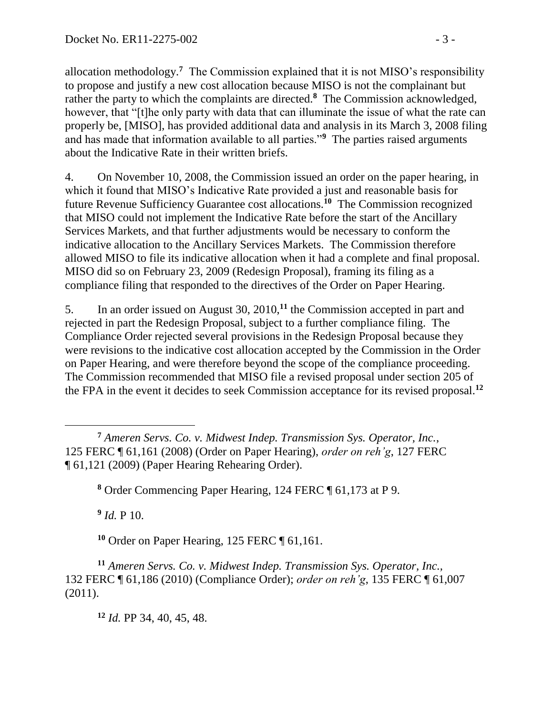allocation methodology.**<sup>7</sup>** The Commission explained that it is not MISO's responsibility to propose and justify a new cost allocation because MISO is not the complainant but rather the party to which the complaints are directed.**<sup>8</sup>** The Commission acknowledged, however, that "[t]he only party with data that can illuminate the issue of what the rate can properly be, [MISO], has provided additional data and analysis in its March 3, 2008 filing and has made that information available to all parties."**<sup>9</sup>** The parties raised arguments about the Indicative Rate in their written briefs.

4. On November 10, 2008, the Commission issued an order on the paper hearing, in which it found that MISO's Indicative Rate provided a just and reasonable basis for future Revenue Sufficiency Guarantee cost allocations.**<sup>10</sup>** The Commission recognized that MISO could not implement the Indicative Rate before the start of the Ancillary Services Markets, and that further adjustments would be necessary to conform the indicative allocation to the Ancillary Services Markets. The Commission therefore allowed MISO to file its indicative allocation when it had a complete and final proposal. MISO did so on February 23, 2009 (Redesign Proposal), framing its filing as a compliance filing that responded to the directives of the Order on Paper Hearing.

5. In an order issued on August 30, 2010,**<sup>11</sup>** the Commission accepted in part and rejected in part the Redesign Proposal, subject to a further compliance filing. The Compliance Order rejected several provisions in the Redesign Proposal because they were revisions to the indicative cost allocation accepted by the Commission in the Order on Paper Hearing, and were therefore beyond the scope of the compliance proceeding. The Commission recommended that MISO file a revised proposal under section 205 of the FPA in the event it decides to seek Commission acceptance for its revised proposal.**<sup>12</sup>**

**<sup>8</sup>** Order Commencing Paper Hearing, 124 FERC ¶ 61,173 at P 9.

**9** *Id.* P 10.

 $\overline{a}$ 

**<sup>10</sup>** Order on Paper Hearing, 125 FERC ¶ 61,161.

**<sup>11</sup>** *Ameren Servs. Co. v. Midwest Indep. Transmission Sys. Operator, Inc.,*  132 FERC ¶ 61,186 (2010) (Compliance Order); *order on reh'g*, 135 FERC ¶ 61,007 (2011).

**<sup>12</sup>** *Id.* PP 34, 40, 45, 48.

**<sup>7</sup>** *Ameren Servs. Co. v. Midwest Indep. Transmission Sys. Operator, Inc.*, 125 FERC ¶ 61,161 (2008) (Order on Paper Hearing), *order on reh'g*, 127 FERC ¶ 61,121 (2009) (Paper Hearing Rehearing Order).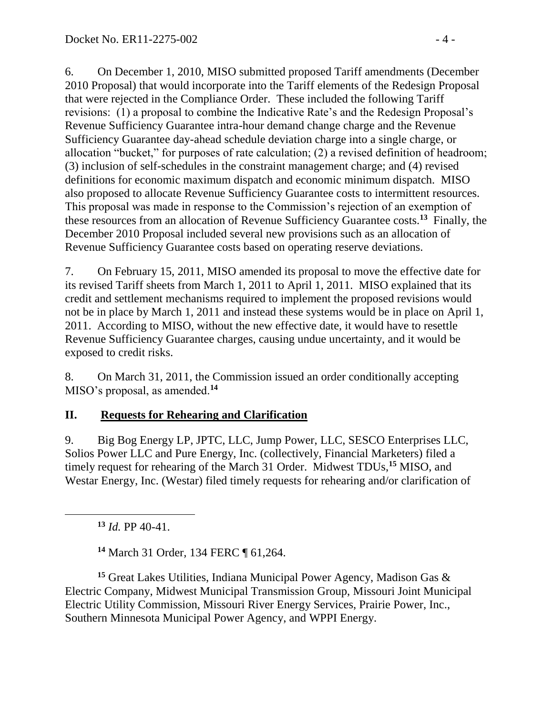6. On December 1, 2010, MISO submitted proposed Tariff amendments (December 2010 Proposal) that would incorporate into the Tariff elements of the Redesign Proposal that were rejected in the Compliance Order. These included the following Tariff revisions: (1) a proposal to combine the Indicative Rate's and the Redesign Proposal's Revenue Sufficiency Guarantee intra-hour demand change charge and the Revenue Sufficiency Guarantee day-ahead schedule deviation charge into a single charge, or allocation "bucket," for purposes of rate calculation; (2) a revised definition of headroom; (3) inclusion of self-schedules in the constraint management charge; and (4) revised definitions for economic maximum dispatch and economic minimum dispatch. MISO also proposed to allocate Revenue Sufficiency Guarantee costs to intermittent resources. This proposal was made in response to the Commission's rejection of an exemption of these resources from an allocation of Revenue Sufficiency Guarantee costs.**<sup>13</sup>** Finally, the December 2010 Proposal included several new provisions such as an allocation of Revenue Sufficiency Guarantee costs based on operating reserve deviations.

7. On February 15, 2011, MISO amended its proposal to move the effective date for its revised Tariff sheets from March 1, 2011 to April 1, 2011. MISO explained that its credit and settlement mechanisms required to implement the proposed revisions would not be in place by March 1, 2011 and instead these systems would be in place on April 1, 2011. According to MISO, without the new effective date, it would have to resettle Revenue Sufficiency Guarantee charges, causing undue uncertainty, and it would be exposed to credit risks.

8. On March 31, 2011, the Commission issued an order conditionally accepting MISO's proposal, as amended.**<sup>14</sup>**

### **II. Requests for Rehearing and Clarification**

9. Big Bog Energy LP, JPTC, LLC, Jump Power, LLC, SESCO Enterprises LLC, Solios Power LLC and Pure Energy, Inc. (collectively, Financial Marketers) filed a timely request for rehearing of the March 31 Order. Midwest TDUs,**<sup>15</sup>** MISO, and Westar Energy, Inc. (Westar) filed timely requests for rehearing and/or clarification of

**<sup>13</sup>** *Id.* PP 40-41.

**<sup>14</sup>** March 31 Order*,* 134 FERC ¶ 61,264.

**<sup>15</sup>** Great Lakes Utilities, Indiana Municipal Power Agency, Madison Gas & Electric Company, Midwest Municipal Transmission Group, Missouri Joint Municipal Electric Utility Commission, Missouri River Energy Services, Prairie Power, Inc., Southern Minnesota Municipal Power Agency, and WPPI Energy.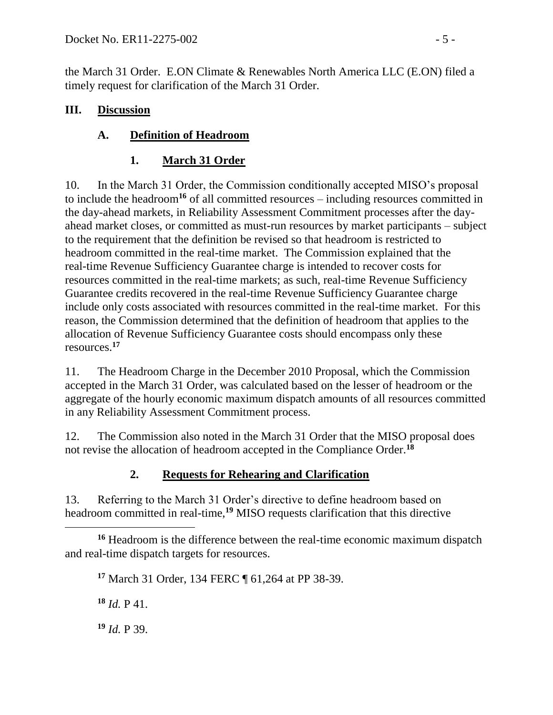the March 31 Order. E.ON Climate & Renewables North America LLC (E.ON) filed a timely request for clarification of the March 31 Order.

#### **III. Discussion**

# **A. Definition of Headroom**

# **1. March 31 Order**

10. In the March 31 Order, the Commission conditionally accepted MISO's proposal to include the headroom**<sup>16</sup>** of all committed resources – including resources committed in the day-ahead markets, in Reliability Assessment Commitment processes after the dayahead market closes, or committed as must-run resources by market participants – subject to the requirement that the definition be revised so that headroom is restricted to headroom committed in the real-time market. The Commission explained that the real-time Revenue Sufficiency Guarantee charge is intended to recover costs for resources committed in the real-time markets; as such, real-time Revenue Sufficiency Guarantee credits recovered in the real-time Revenue Sufficiency Guarantee charge include only costs associated with resources committed in the real-time market. For this reason, the Commission determined that the definition of headroom that applies to the allocation of Revenue Sufficiency Guarantee costs should encompass only these resources.**<sup>17</sup>**

11. The Headroom Charge in the December 2010 Proposal, which the Commission accepted in the March 31 Order, was calculated based on the lesser of headroom or the aggregate of the hourly economic maximum dispatch amounts of all resources committed in any Reliability Assessment Commitment process.

12. The Commission also noted in the March 31 Order that the MISO proposal does not revise the allocation of headroom accepted in the Compliance Order.**<sup>18</sup>**

# **2. Requests for Rehearing and Clarification**

13. Referring to the March 31 Order's directive to define headroom based on headroom committed in real-time,**<sup>19</sup>** MISO requests clarification that this directive

 **<sup>16</sup>** Headroom is the difference between the real-time economic maximum dispatch and real-time dispatch targets for resources.

**<sup>17</sup>** March 31 Order, 134 FERC ¶ 61,264 at PP 38-39.

**<sup>18</sup>** *Id.* P 41.

**<sup>19</sup>** *Id.* P 39.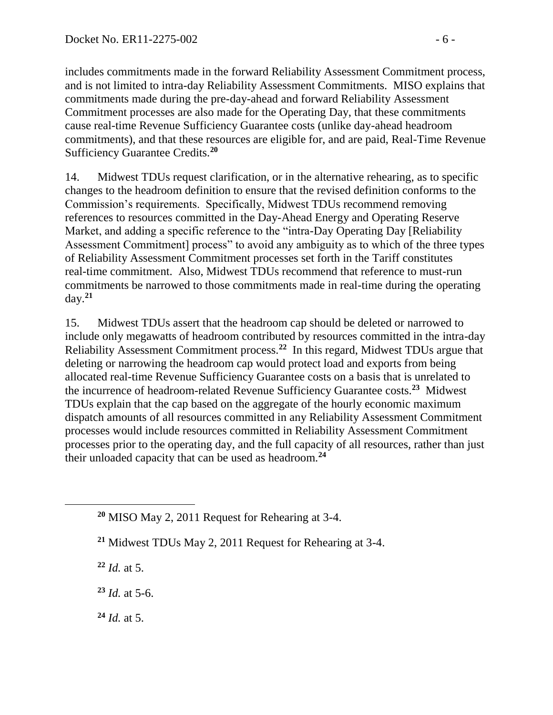includes commitments made in the forward Reliability Assessment Commitment process, and is not limited to intra-day Reliability Assessment Commitments. MISO explains that commitments made during the pre-day-ahead and forward Reliability Assessment Commitment processes are also made for the Operating Day, that these commitments cause real-time Revenue Sufficiency Guarantee costs (unlike day-ahead headroom commitments), and that these resources are eligible for, and are paid, Real-Time Revenue Sufficiency Guarantee Credits.**<sup>20</sup>**

14. Midwest TDUs request clarification, or in the alternative rehearing, as to specific changes to the headroom definition to ensure that the revised definition conforms to the Commission's requirements. Specifically, Midwest TDUs recommend removing references to resources committed in the Day-Ahead Energy and Operating Reserve Market, and adding a specific reference to the "intra-Day Operating Day [Reliability Assessment Commitment] process" to avoid any ambiguity as to which of the three types of Reliability Assessment Commitment processes set forth in the Tariff constitutes real-time commitment. Also, Midwest TDUs recommend that reference to must-run commitments be narrowed to those commitments made in real-time during the operating day.**<sup>21</sup>**

15. Midwest TDUs assert that the headroom cap should be deleted or narrowed to include only megawatts of headroom contributed by resources committed in the intra-day Reliability Assessment Commitment process.**<sup>22</sup>** In this regard, Midwest TDUs argue that deleting or narrowing the headroom cap would protect load and exports from being allocated real-time Revenue Sufficiency Guarantee costs on a basis that is unrelated to the incurrence of headroom-related Revenue Sufficiency Guarantee costs.**<sup>23</sup>** Midwest TDUs explain that the cap based on the aggregate of the hourly economic maximum dispatch amounts of all resources committed in any Reliability Assessment Commitment processes would include resources committed in Reliability Assessment Commitment processes prior to the operating day, and the full capacity of all resources, rather than just their unloaded capacity that can be used as headroom.**<sup>24</sup>**

**<sup>21</sup>** Midwest TDUs May 2, 2011 Request for Rehearing at 3-4.

**<sup>22</sup>** *Id.* at 5.

 $\overline{a}$ 

**<sup>23</sup>** *Id.* at 5-6.

**<sup>24</sup>** *Id.* at 5.

**<sup>20</sup>** MISO May 2, 2011 Request for Rehearing at 3-4.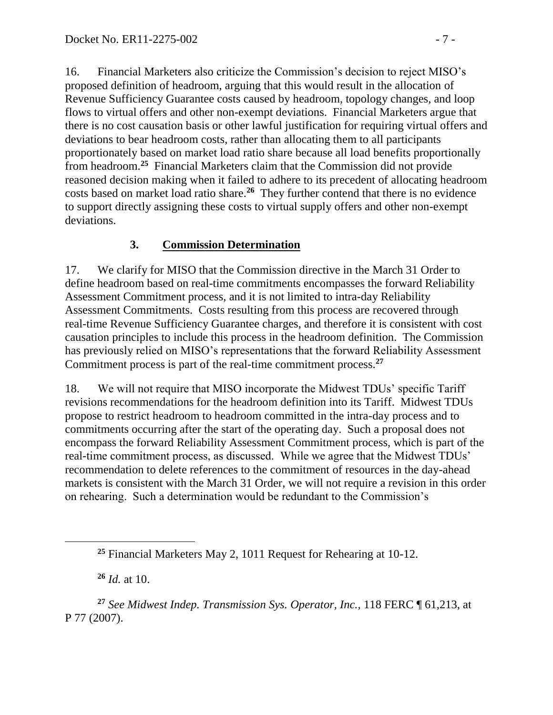16. Financial Marketers also criticize the Commission's decision to reject MISO's proposed definition of headroom, arguing that this would result in the allocation of Revenue Sufficiency Guarantee costs caused by headroom, topology changes, and loop flows to virtual offers and other non-exempt deviations. Financial Marketers argue that there is no cost causation basis or other lawful justification for requiring virtual offers and deviations to bear headroom costs, rather than allocating them to all participants proportionately based on market load ratio share because all load benefits proportionally from headroom. **25** Financial Marketers claim that the Commission did not provide reasoned decision making when it failed to adhere to its precedent of allocating headroom costs based on market load ratio share.**<sup>26</sup>** They further contend that there is no evidence to support directly assigning these costs to virtual supply offers and other non-exempt deviations.

# **3. Commission Determination**

17. We clarify for MISO that the Commission directive in the March 31 Order to define headroom based on real-time commitments encompasses the forward Reliability Assessment Commitment process, and it is not limited to intra-day Reliability Assessment Commitments. Costs resulting from this process are recovered through real-time Revenue Sufficiency Guarantee charges, and therefore it is consistent with cost causation principles to include this process in the headroom definition. The Commission has previously relied on MISO's representations that the forward Reliability Assessment Commitment process is part of the real-time commitment process.**<sup>27</sup>**

18. We will not require that MISO incorporate the Midwest TDUs' specific Tariff revisions recommendations for the headroom definition into its Tariff. Midwest TDUs propose to restrict headroom to headroom committed in the intra-day process and to commitments occurring after the start of the operating day. Such a proposal does not encompass the forward Reliability Assessment Commitment process, which is part of the real-time commitment process, as discussed. While we agree that the Midwest TDUs' recommendation to delete references to the commitment of resources in the day-ahead markets is consistent with the March 31 Order, we will not require a revision in this order on rehearing. Such a determination would be redundant to the Commission's

**<sup>26</sup>** *Id.* at 10.

**<sup>27</sup>** *See Midwest Indep. Transmission Sys. Operator, Inc.,* 118 FERC ¶ 61,213, at P 77 (2007).

**<sup>25</sup>** Financial Marketers May 2, 1011 Request for Rehearing at 10-12.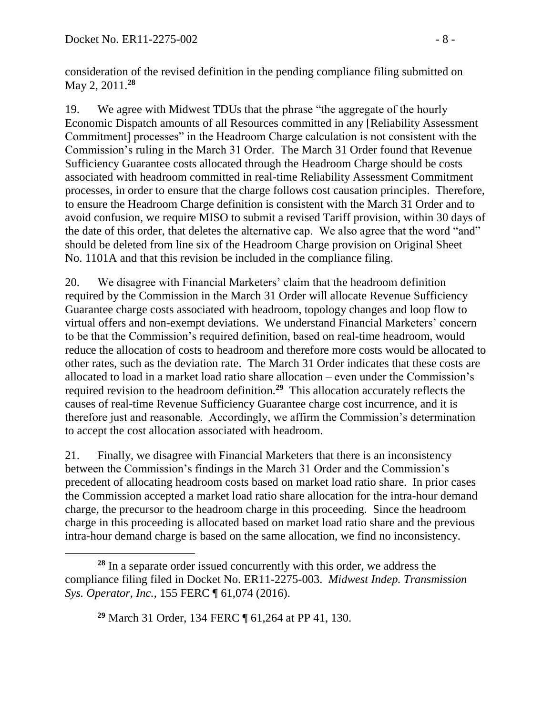consideration of the revised definition in the pending compliance filing submitted on May 2, 2011.**<sup>28</sup>**

19. We agree with Midwest TDUs that the phrase "the aggregate of the hourly Economic Dispatch amounts of all Resources committed in any [Reliability Assessment Commitment] processes" in the Headroom Charge calculation is not consistent with the Commission's ruling in the March 31 Order. The March 31 Order found that Revenue Sufficiency Guarantee costs allocated through the Headroom Charge should be costs associated with headroom committed in real-time Reliability Assessment Commitment processes, in order to ensure that the charge follows cost causation principles. Therefore, to ensure the Headroom Charge definition is consistent with the March 31 Order and to avoid confusion, we require MISO to submit a revised Tariff provision, within 30 days of the date of this order, that deletes the alternative cap. We also agree that the word "and" should be deleted from line six of the Headroom Charge provision on Original Sheet No. 1101A and that this revision be included in the compliance filing.

20. We disagree with Financial Marketers' claim that the headroom definition required by the Commission in the March 31 Order will allocate Revenue Sufficiency Guarantee charge costs associated with headroom, topology changes and loop flow to virtual offers and non-exempt deviations. We understand Financial Marketers' concern to be that the Commission's required definition, based on real-time headroom, would reduce the allocation of costs to headroom and therefore more costs would be allocated to other rates, such as the deviation rate. The March 31 Order indicates that these costs are allocated to load in a market load ratio share allocation – even under the Commission's required revision to the headroom definition.**<sup>29</sup>** This allocation accurately reflects the causes of real-time Revenue Sufficiency Guarantee charge cost incurrence, and it is therefore just and reasonable. Accordingly, we affirm the Commission's determination to accept the cost allocation associated with headroom.

21. Finally, we disagree with Financial Marketers that there is an inconsistency between the Commission's findings in the March 31 Order and the Commission's precedent of allocating headroom costs based on market load ratio share. In prior cases the Commission accepted a market load ratio share allocation for the intra-hour demand charge, the precursor to the headroom charge in this proceeding. Since the headroom charge in this proceeding is allocated based on market load ratio share and the previous intra-hour demand charge is based on the same allocation, we find no inconsistency.

 $\overline{a}$ **<sup>28</sup>** In a separate order issued concurrently with this order, we address the compliance filing filed in Docket No. ER11-2275-003. *Midwest Indep. Transmission Sys. Operator, Inc.,* 155 FERC ¶ 61,074 (2016).

**<sup>29</sup>** March 31 Order, 134 FERC ¶ 61,264 at PP 41, 130.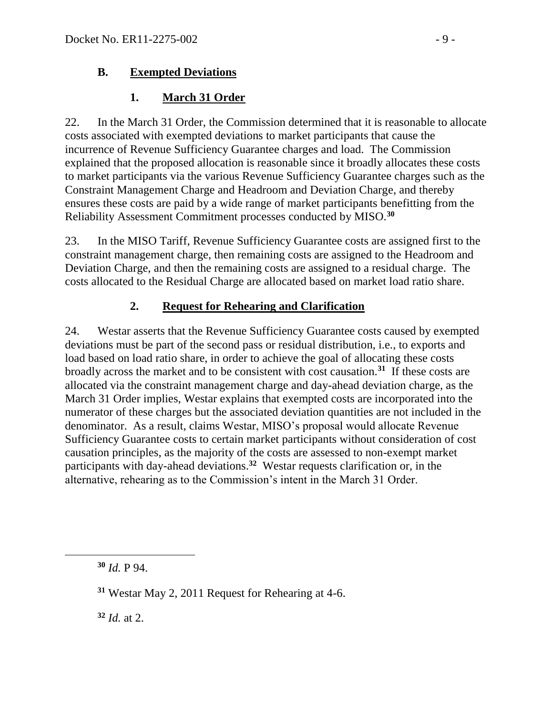### **B. Exempted Deviations**

## **1. March 31 Order**

22. In the March 31 Order, the Commission determined that it is reasonable to allocate costs associated with exempted deviations to market participants that cause the incurrence of Revenue Sufficiency Guarantee charges and load. The Commission explained that the proposed allocation is reasonable since it broadly allocates these costs to market participants via the various Revenue Sufficiency Guarantee charges such as the Constraint Management Charge and Headroom and Deviation Charge, and thereby ensures these costs are paid by a wide range of market participants benefitting from the Reliability Assessment Commitment processes conducted by MISO.**<sup>30</sup>**

23. In the MISO Tariff, Revenue Sufficiency Guarantee costs are assigned first to the constraint management charge, then remaining costs are assigned to the Headroom and Deviation Charge, and then the remaining costs are assigned to a residual charge. The costs allocated to the Residual Charge are allocated based on market load ratio share.

# **2. Request for Rehearing and Clarification**

24. Westar asserts that the Revenue Sufficiency Guarantee costs caused by exempted deviations must be part of the second pass or residual distribution, i.e., to exports and load based on load ratio share, in order to achieve the goal of allocating these costs broadly across the market and to be consistent with cost causation.**<sup>31</sup>** If these costs are allocated via the constraint management charge and day-ahead deviation charge, as the March 31 Order implies, Westar explains that exempted costs are incorporated into the numerator of these charges but the associated deviation quantities are not included in the denominator. As a result, claims Westar, MISO's proposal would allocate Revenue Sufficiency Guarantee costs to certain market participants without consideration of cost causation principles, as the majority of the costs are assessed to non-exempt market participants with day-ahead deviations.**<sup>32</sup>** Westar requests clarification or, in the alternative, rehearing as to the Commission's intent in the March 31 Order.

**<sup>32</sup>** *Id.* at 2.

**<sup>30</sup>** *Id.* P 94.

**<sup>31</sup>** Westar May 2, 2011 Request for Rehearing at 4-6.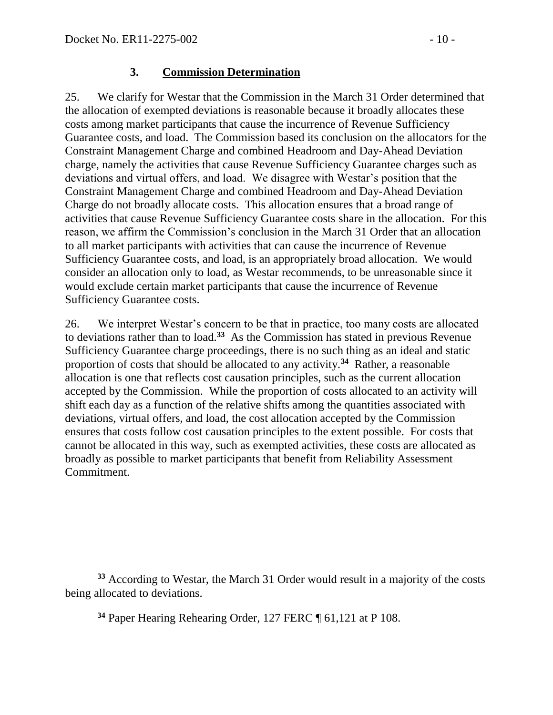#### **3. Commission Determination**

25. We clarify for Westar that the Commission in the March 31 Order determined that the allocation of exempted deviations is reasonable because it broadly allocates these costs among market participants that cause the incurrence of Revenue Sufficiency Guarantee costs, and load. The Commission based its conclusion on the allocators for the Constraint Management Charge and combined Headroom and Day-Ahead Deviation charge, namely the activities that cause Revenue Sufficiency Guarantee charges such as deviations and virtual offers, and load. We disagree with Westar's position that the Constraint Management Charge and combined Headroom and Day-Ahead Deviation Charge do not broadly allocate costs. This allocation ensures that a broad range of activities that cause Revenue Sufficiency Guarantee costs share in the allocation. For this reason, we affirm the Commission's conclusion in the March 31 Order that an allocation to all market participants with activities that can cause the incurrence of Revenue Sufficiency Guarantee costs, and load, is an appropriately broad allocation. We would consider an allocation only to load, as Westar recommends, to be unreasonable since it would exclude certain market participants that cause the incurrence of Revenue Sufficiency Guarantee costs.

26. We interpret Westar's concern to be that in practice, too many costs are allocated to deviations rather than to load.**<sup>33</sup>** As the Commission has stated in previous Revenue Sufficiency Guarantee charge proceedings, there is no such thing as an ideal and static proportion of costs that should be allocated to any activity.**<sup>34</sup>** Rather, a reasonable allocation is one that reflects cost causation principles, such as the current allocation accepted by the Commission. While the proportion of costs allocated to an activity will shift each day as a function of the relative shifts among the quantities associated with deviations, virtual offers, and load, the cost allocation accepted by the Commission ensures that costs follow cost causation principles to the extent possible. For costs that cannot be allocated in this way, such as exempted activities, these costs are allocated as broadly as possible to market participants that benefit from Reliability Assessment Commitment.

 $\overline{a}$ **<sup>33</sup>** According to Westar, the March 31 Order would result in a majority of the costs being allocated to deviations.

**<sup>34</sup>** Paper Hearing Rehearing Order*,* 127 FERC ¶ 61,121 at P 108.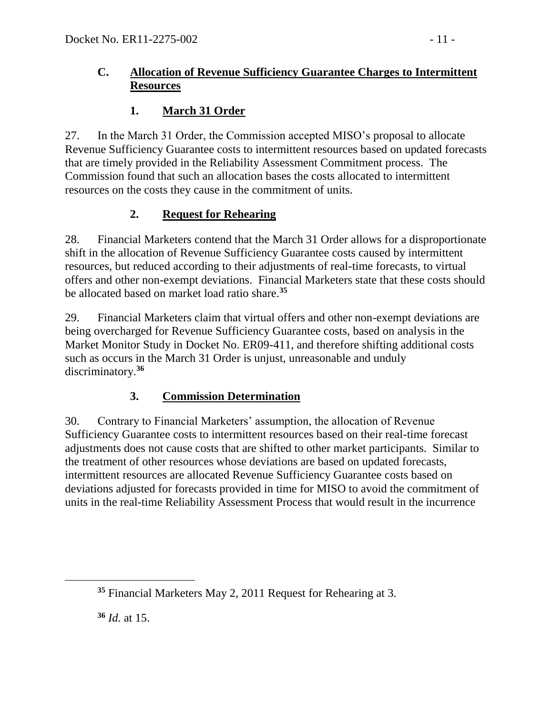### **C. Allocation of Revenue Sufficiency Guarantee Charges to Intermittent Resources**

# **1. March 31 Order**

27. In the March 31 Order, the Commission accepted MISO's proposal to allocate Revenue Sufficiency Guarantee costs to intermittent resources based on updated forecasts that are timely provided in the Reliability Assessment Commitment process. The Commission found that such an allocation bases the costs allocated to intermittent resources on the costs they cause in the commitment of units.

# **2. Request for Rehearing**

28. Financial Marketers contend that the March 31 Order allows for a disproportionate shift in the allocation of Revenue Sufficiency Guarantee costs caused by intermittent resources, but reduced according to their adjustments of real-time forecasts, to virtual offers and other non-exempt deviations. Financial Marketers state that these costs should be allocated based on market load ratio share.**<sup>35</sup>**

29. Financial Marketers claim that virtual offers and other non-exempt deviations are being overcharged for Revenue Sufficiency Guarantee costs, based on analysis in the Market Monitor Study in Docket No. ER09-411, and therefore shifting additional costs such as occurs in the March 31 Order is unjust, unreasonable and unduly discriminatory.**<sup>36</sup>**

# **3. Commission Determination**

30. Contrary to Financial Marketers' assumption, the allocation of Revenue Sufficiency Guarantee costs to intermittent resources based on their real-time forecast adjustments does not cause costs that are shifted to other market participants. Similar to the treatment of other resources whose deviations are based on updated forecasts, intermittent resources are allocated Revenue Sufficiency Guarantee costs based on deviations adjusted for forecasts provided in time for MISO to avoid the commitment of units in the real-time Reliability Assessment Process that would result in the incurrence

**<sup>36</sup>** *Id.* at 15.

 $\overline{a}$ 

**<sup>35</sup>** Financial Marketers May 2, 2011 Request for Rehearing at 3.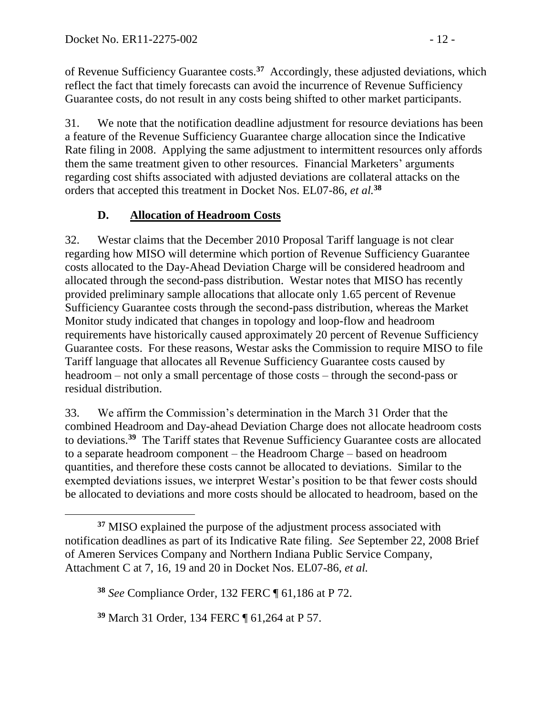of Revenue Sufficiency Guarantee costs.**<sup>37</sup>** Accordingly, these adjusted deviations, which reflect the fact that timely forecasts can avoid the incurrence of Revenue Sufficiency Guarantee costs, do not result in any costs being shifted to other market participants.

31. We note that the notification deadline adjustment for resource deviations has been a feature of the Revenue Sufficiency Guarantee charge allocation since the Indicative Rate filing in 2008. Applying the same adjustment to intermittent resources only affords them the same treatment given to other resources. Financial Marketers' arguments regarding cost shifts associated with adjusted deviations are collateral attacks on the orders that accepted this treatment in Docket Nos. EL07-86, *et al.***<sup>38</sup>**

# **D. Allocation of Headroom Costs**

32. Westar claims that the December 2010 Proposal Tariff language is not clear regarding how MISO will determine which portion of Revenue Sufficiency Guarantee costs allocated to the Day-Ahead Deviation Charge will be considered headroom and allocated through the second-pass distribution. Westar notes that MISO has recently provided preliminary sample allocations that allocate only 1.65 percent of Revenue Sufficiency Guarantee costs through the second-pass distribution, whereas the Market Monitor study indicated that changes in topology and loop-flow and headroom requirements have historically caused approximately 20 percent of Revenue Sufficiency Guarantee costs. For these reasons, Westar asks the Commission to require MISO to file Tariff language that allocates all Revenue Sufficiency Guarantee costs caused by headroom – not only a small percentage of those costs – through the second-pass or residual distribution.

33. We affirm the Commission's determination in the March 31 Order that the combined Headroom and Day-ahead Deviation Charge does not allocate headroom costs to deviations.**<sup>39</sup>** The Tariff states that Revenue Sufficiency Guarantee costs are allocated to a separate headroom component – the Headroom Charge – based on headroom quantities, and therefore these costs cannot be allocated to deviations. Similar to the exempted deviations issues, we interpret Westar's position to be that fewer costs should be allocated to deviations and more costs should be allocated to headroom, based on the

**<sup>39</sup>** March 31 Order, 134 FERC ¶ 61,264 at P 57.

**<sup>37</sup>** MISO explained the purpose of the adjustment process associated with notification deadlines as part of its Indicative Rate filing. *See* September 22, 2008 Brief of Ameren Services Company and Northern Indiana Public Service Company, Attachment C at 7, 16, 19 and 20 in Docket Nos. EL07-86, *et al.*

**<sup>38</sup>** *See* Compliance Order*,* 132 FERC ¶ 61,186 at P 72.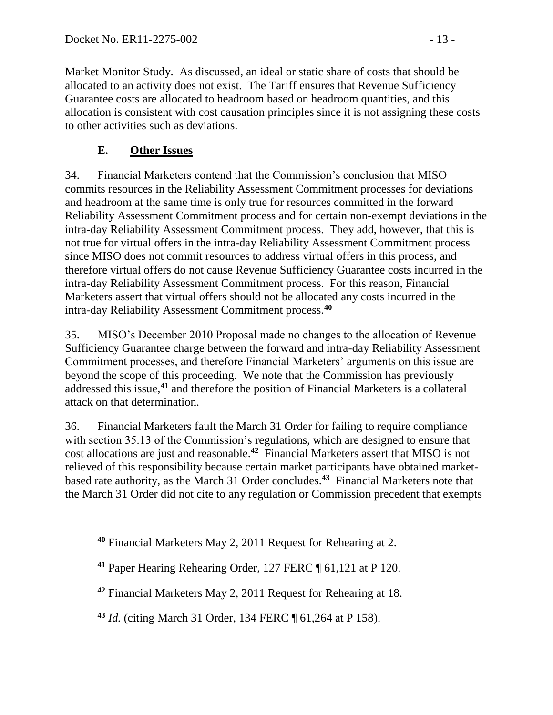Market Monitor Study. As discussed, an ideal or static share of costs that should be allocated to an activity does not exist. The Tariff ensures that Revenue Sufficiency Guarantee costs are allocated to headroom based on headroom quantities, and this allocation is consistent with cost causation principles since it is not assigning these costs to other activities such as deviations.

# **E. Other Issues**

34. Financial Marketers contend that the Commission's conclusion that MISO commits resources in the Reliability Assessment Commitment processes for deviations and headroom at the same time is only true for resources committed in the forward Reliability Assessment Commitment process and for certain non-exempt deviations in the intra-day Reliability Assessment Commitment process. They add, however, that this is not true for virtual offers in the intra-day Reliability Assessment Commitment process since MISO does not commit resources to address virtual offers in this process, and therefore virtual offers do not cause Revenue Sufficiency Guarantee costs incurred in the intra-day Reliability Assessment Commitment process. For this reason, Financial Marketers assert that virtual offers should not be allocated any costs incurred in the intra-day Reliability Assessment Commitment process.**<sup>40</sup>**

35. MISO's December 2010 Proposal made no changes to the allocation of Revenue Sufficiency Guarantee charge between the forward and intra-day Reliability Assessment Commitment processes, and therefore Financial Marketers' arguments on this issue are beyond the scope of this proceeding. We note that the Commission has previously addressed this issue,**<sup>41</sup>** and therefore the position of Financial Marketers is a collateral attack on that determination.

36. Financial Marketers fault the March 31 Order for failing to require compliance with section 35.13 of the Commission's regulations, which are designed to ensure that cost allocations are just and reasonable. **42** Financial Marketers assert that MISO is not relieved of this responsibility because certain market participants have obtained marketbased rate authority, as the March 31 Order concludes.**<sup>43</sup>** Financial Marketers note that the March 31 Order did not cite to any regulation or Commission precedent that exempts

**<sup>40</sup>** Financial Marketers May 2, 2011 Request for Rehearing at 2.

**<sup>41</sup>** Paper Hearing Rehearing Order*,* 127 FERC ¶ 61,121 at P 120.

**<sup>42</sup>** Financial Marketers May 2, 2011 Request for Rehearing at 18.

**<sup>43</sup>** *Id.* (citing March 31 Order, 134 FERC ¶ 61,264 at P 158).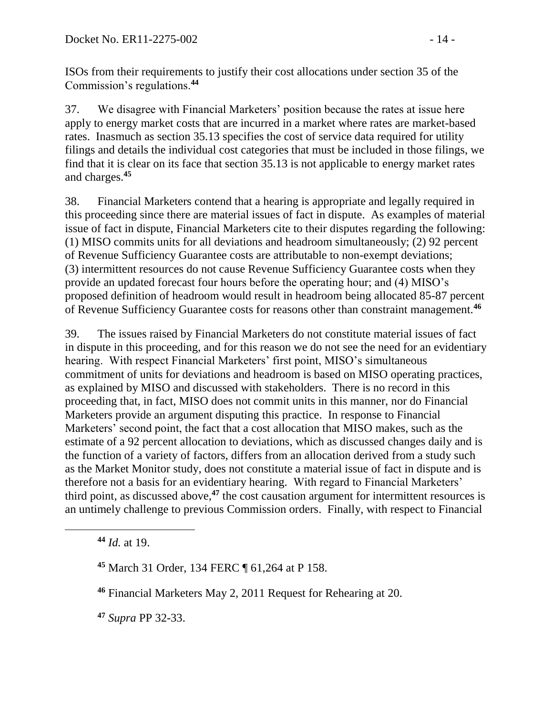ISOs from their requirements to justify their cost allocations under section 35 of the Commission's regulations.**<sup>44</sup>**

37. We disagree with Financial Marketers' position because the rates at issue here apply to energy market costs that are incurred in a market where rates are market-based rates. Inasmuch as section 35.13 specifies the cost of service data required for utility filings and details the individual cost categories that must be included in those filings, we find that it is clear on its face that section 35.13 is not applicable to energy market rates and charges.**<sup>45</sup>**

38. Financial Marketers contend that a hearing is appropriate and legally required in this proceeding since there are material issues of fact in dispute. As examples of material issue of fact in dispute, Financial Marketers cite to their disputes regarding the following: (1) MISO commits units for all deviations and headroom simultaneously; (2) 92 percent of Revenue Sufficiency Guarantee costs are attributable to non-exempt deviations; (3) intermittent resources do not cause Revenue Sufficiency Guarantee costs when they provide an updated forecast four hours before the operating hour; and (4) MISO's proposed definition of headroom would result in headroom being allocated 85-87 percent of Revenue Sufficiency Guarantee costs for reasons other than constraint management.**<sup>46</sup>**

39. The issues raised by Financial Marketers do not constitute material issues of fact in dispute in this proceeding, and for this reason we do not see the need for an evidentiary hearing. With respect Financial Marketers' first point, MISO's simultaneous commitment of units for deviations and headroom is based on MISO operating practices, as explained by MISO and discussed with stakeholders. There is no record in this proceeding that, in fact, MISO does not commit units in this manner, nor do Financial Marketers provide an argument disputing this practice. In response to Financial Marketers' second point, the fact that a cost allocation that MISO makes, such as the estimate of a 92 percent allocation to deviations, which as discussed changes daily and is the function of a variety of factors, differs from an allocation derived from a study such as the Market Monitor study, does not constitute a material issue of fact in dispute and is therefore not a basis for an evidentiary hearing. With regard to Financial Marketers' third point, as discussed above, **<sup>47</sup>** the cost causation argument for intermittent resources is an untimely challenge to previous Commission orders. Finally, with respect to Financial

**<sup>44</sup>** *Id.* at 19.

**<sup>47</sup>** *Supra* PP 32-33.

**<sup>45</sup>** March 31 Order, 134 FERC ¶ 61,264 at P 158.

**<sup>46</sup>** Financial Marketers May 2, 2011 Request for Rehearing at 20.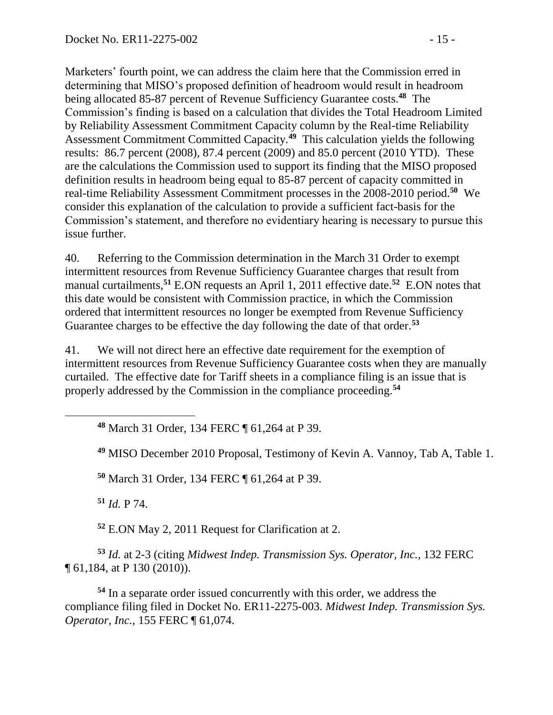Marketers' fourth point, we can address the claim here that the Commission erred in determining that MISO's proposed definition of headroom would result in headroom being allocated 85-87 percent of Revenue Sufficiency Guarantee costs.**<sup>48</sup>** The Commission's finding is based on a calculation that divides the Total Headroom Limited by Reliability Assessment Commitment Capacity column by the Real-time Reliability Assessment Commitment Committed Capacity.**<sup>49</sup>** This calculation yields the following results: 86.7 percent (2008), 87.4 percent (2009) and 85.0 percent (2010 YTD). These are the calculations the Commission used to support its finding that the MISO proposed definition results in headroom being equal to 85-87 percent of capacity committed in real-time Reliability Assessment Commitment processes in the 2008-2010 period. **<sup>50</sup>** We consider this explanation of the calculation to provide a sufficient fact-basis for the Commission's statement, and therefore no evidentiary hearing is necessary to pursue this issue further.

40. Referring to the Commission determination in the March 31 Order to exempt intermittent resources from Revenue Sufficiency Guarantee charges that result from manual curtailments,**<sup>51</sup>** E.ON requests an April 1, 2011 effective date.**<sup>52</sup>** E.ON notes that this date would be consistent with Commission practice, in which the Commission ordered that intermittent resources no longer be exempted from Revenue Sufficiency Guarantee charges to be effective the day following the date of that order.**<sup>53</sup>**

41. We will not direct here an effective date requirement for the exemption of intermittent resources from Revenue Sufficiency Guarantee costs when they are manually curtailed. The effective date for Tariff sheets in a compliance filing is an issue that is properly addressed by the Commission in the compliance proceeding.**<sup>54</sup>**

**<sup>48</sup>** March 31 Order, 134 FERC ¶ 61,264 at P 39.

**<sup>49</sup>** MISO December 2010 Proposal, Testimony of Kevin A. Vannoy, Tab A, Table 1.

**<sup>50</sup>** March 31 Order, 134 FERC ¶ 61,264 at P 39.

**<sup>51</sup>** *Id.* P 74.

**<sup>52</sup>** E.ON May 2, 2011 Request for Clarification at 2.

**<sup>53</sup>** *Id.* at 2-3 (citing *Midwest Indep. Transmission Sys. Operator, Inc.,* 132 FERC ¶ 61,184, at P 130 (2010)).

**<sup>54</sup>** In a separate order issued concurrently with this order, we address the compliance filing filed in Docket No. ER11-2275-003. *Midwest Indep. Transmission Sys. Operator, Inc.,* 155 FERC ¶ 61,074.